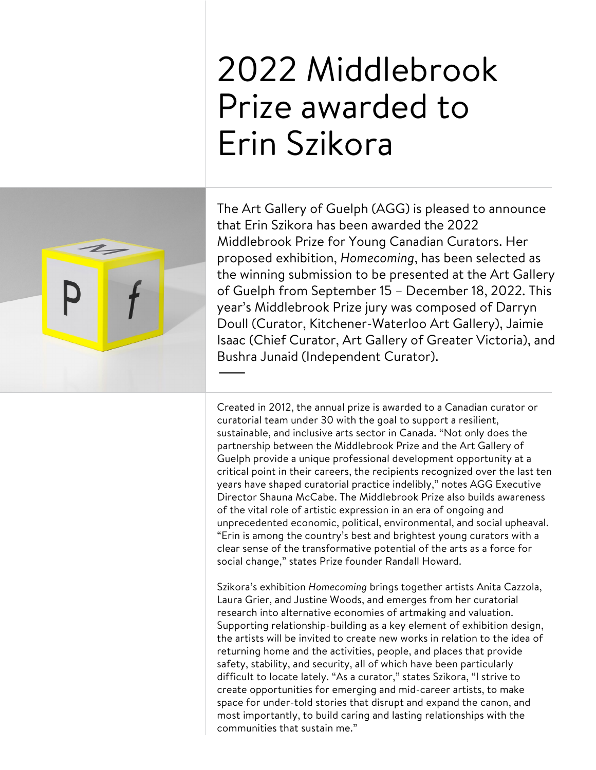# 2022 Middlebrook Prize awarded to Erin Szikora



The Art Gallery of Guelph (AGG) is pleased to announce that Erin Szikora has been awarded the 2022 Middlebrook Prize for Young Canadian Curators. Her proposed exhibition, *Homecoming*, has been selected as the winning submission to be presented at the Art Gallery of Guelph from September 15 – December 18, 2022. This year's Middlebrook Prize jury was composed of Darryn Doull (Curator, Kitchener-Waterloo Art Gallery), Jaimie Isaac (Chief Curator, Art Gallery of Greater Victoria), and Bushra Junaid (Independent Curator). —

Created in 2012, the annual prize is awarded to a Canadian curator or curatorial team under 30 with the goal to support a resilient, sustainable, and inclusive arts sector in Canada. "Not only does the partnership between the Middlebrook Prize and the Art Gallery of Guelph provide a unique professional development opportunity at a critical point in their careers, the recipients recognized over the last ten years have shaped curatorial practice indelibly," notes AGG Executive Director Shauna McCabe. The Middlebrook Prize also builds awareness of the vital role of artistic expression in an era of ongoing and unprecedented economic, political, environmental, and social upheaval. "Erin is among the country's best and brightest young curators with a clear sense of the transformative potential of the arts as a force for social change," states Prize founder Randall Howard.

Szikora's exhibition *Homecoming* brings together artists Anita Cazzola, Laura Grier, and Justine Woods, and emerges from her curatorial research into alternative economies of artmaking and valuation. Supporting relationship-building as a key element of exhibition design, the artists will be invited to create new works in relation to the idea of returning home and the activities, people, and places that provide safety, stability, and security, all of which have been particularly difficult to locate lately. "As a curator," states Szikora, "I strive to create opportunities for emerging and mid-career artists, to make space for under-told stories that disrupt and expand the canon, and most importantly, to build caring and lasting relationships with the communities that sustain me."